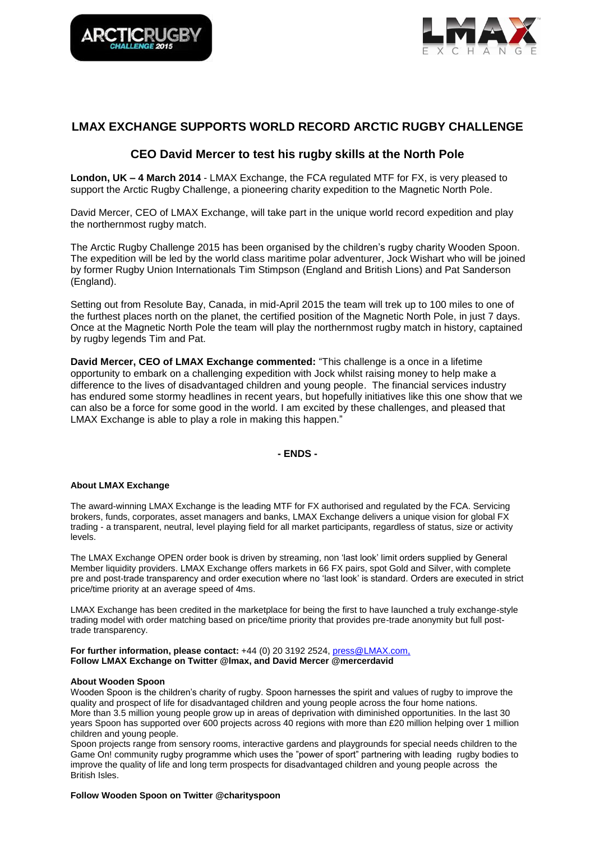



# **LMAX EXCHANGE SUPPORTS WORLD RECORD ARCTIC RUGBY CHALLENGE**

# **CEO David Mercer to test his rugby skills at the North Pole**

**London, UK – 4 March 2014** - LMAX Exchange, the FCA regulated MTF for FX, is very pleased to support the Arctic Rugby Challenge, a pioneering charity expedition to the Magnetic North Pole.

David Mercer, CEO of LMAX Exchange, will take part in the unique world record expedition and play the northernmost rugby match.

The Arctic Rugby Challenge 2015 has been organised by the children's rugby charity Wooden Spoon. The expedition will be led by the world class maritime polar adventurer, Jock Wishart who will be joined by former Rugby Union Internationals Tim Stimpson (England and British Lions) and Pat Sanderson (England).

Setting out from Resolute Bay, Canada, in mid-April 2015 the team will trek up to 100 miles to one of the furthest places north on the planet, the certified position of the Magnetic North Pole, in just 7 days. Once at the Magnetic North Pole the team will play the northernmost rugby match in history, captained by rugby legends Tim and Pat.

**David Mercer, CEO of LMAX Exchange commented:** "This challenge is a once in a lifetime opportunity to embark on a challenging expedition with Jock whilst raising money to help make a difference to the lives of disadvantaged children and young people. The financial services industry has endured some stormy headlines in recent years, but hopefully initiatives like this one show that we can also be a force for some good in the world. I am excited by these challenges, and pleased that LMAX Exchange is able to play a role in making this happen."

## **- ENDS -**

#### **About LMAX Exchange**

The award-winning LMAX Exchange is the leading MTF for FX authorised and regulated by the FCA. Servicing brokers, funds, corporates, asset managers and banks, LMAX Exchange delivers a unique vision for global FX trading - a transparent, neutral, level playing field for all market participants, regardless of status, size or activity levels.

The LMAX Exchange OPEN order book is driven by streaming, non 'last look' limit orders supplied by General Member liquidity providers. LMAX Exchange offers markets in 66 FX pairs, spot Gold and Silver, with complete pre and post-trade transparency and order execution where no 'last look' is standard. Orders are executed in strict price/time priority at an average speed of 4ms.

LMAX Exchange has been credited in the marketplace for being the first to have launched a truly exchange-style trading model with order matching based on price/time priority that provides pre-trade anonymity but full posttrade transparency.

**For further information, please contact:** +44 (0) 20 3192 2524, [press@LMAX.com,](mailto:press@LMAX.com) **Follow LMAX Exchange on Twitter @lmax, and David Mercer @mercerdavid** 

## **About Wooden Spoon**

Wooden Spoon is the children's charity of rugby. Spoon harnesses the spirit and values of rugby to improve the quality and prospect of life for disadvantaged children and young people across the four home nations. More than 3.5 million young people grow up in areas of deprivation with diminished opportunities. In the last 30 years Spoon has supported over 600 projects across 40 regions with more than £20 million helping over 1 million children and young people.

Spoon projects range from sensory rooms, interactive gardens and playgrounds for special needs children to the Game On! community rugby programme which uses the "power of sport" partnering with leading rugby bodies to improve the quality of life and long term prospects for disadvantaged children and young people across the British Isles.

**Follow Wooden Spoon on Twitter @charityspoon**